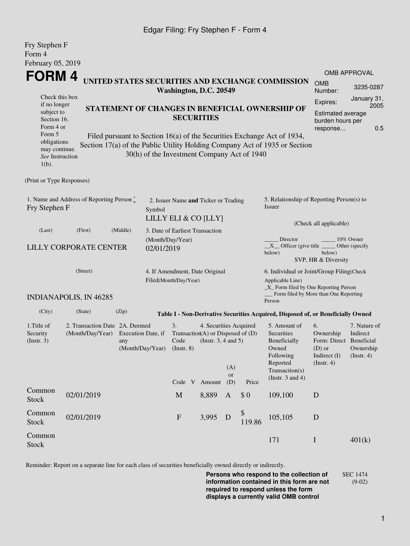## Edgar Filing: Fry Stephen F - Form 4

| Fry Stephen F<br>Form 4                                                                                                                           |                               |                                                                                                                                                                                                                                                                              |  |                                                         |                                                                                      |                                                                               |              |                                                                                                                                                               |                                                      |                                                           |  |
|---------------------------------------------------------------------------------------------------------------------------------------------------|-------------------------------|------------------------------------------------------------------------------------------------------------------------------------------------------------------------------------------------------------------------------------------------------------------------------|--|---------------------------------------------------------|--------------------------------------------------------------------------------------|-------------------------------------------------------------------------------|--------------|---------------------------------------------------------------------------------------------------------------------------------------------------------------|------------------------------------------------------|-----------------------------------------------------------|--|
| February 05, 2019                                                                                                                                 |                               |                                                                                                                                                                                                                                                                              |  |                                                         |                                                                                      |                                                                               |              |                                                                                                                                                               |                                                      |                                                           |  |
| <b>FORM4</b>                                                                                                                                      |                               |                                                                                                                                                                                                                                                                              |  |                                                         |                                                                                      |                                                                               |              |                                                                                                                                                               |                                                      | OMB APPROVAL                                              |  |
| UNITED STATES SECURITIES AND EXCHANGE COMMISSION                                                                                                  |                               |                                                                                                                                                                                                                                                                              |  |                                                         | Washington, D.C. 20549                                                               |                                                                               |              |                                                                                                                                                               | <b>OMB</b><br>Number:                                | 3235-0287                                                 |  |
| Check this box<br>if no longer<br>subject to<br>Section 16.<br>Form 4 or<br>Form 5<br>obligations<br>may continue.<br>See Instruction<br>$1(b)$ . |                               | STATEMENT OF CHANGES IN BENEFICIAL OWNERSHIP OF<br><b>SECURITIES</b><br>Filed pursuant to Section 16(a) of the Securities Exchange Act of 1934,<br>Section 17(a) of the Public Utility Holding Company Act of 1935 or Section<br>30(h) of the Investment Company Act of 1940 |  |                                                         |                                                                                      |                                                                               |              |                                                                                                                                                               |                                                      |                                                           |  |
| (Print or Type Responses)                                                                                                                         |                               |                                                                                                                                                                                                                                                                              |  |                                                         |                                                                                      |                                                                               |              |                                                                                                                                                               |                                                      |                                                           |  |
| 1. Name and Address of Reporting Person $\stackrel{*}{\mathbb{L}}$<br>Fry Stephen F                                                               | Symbol                        | 2. Issuer Name and Ticker or Trading<br>LILLY ELI & CO [LLY]                                                                                                                                                                                                                 |  |                                                         |                                                                                      | 5. Relationship of Reporting Person(s) to<br>Issuer<br>(Check all applicable) |              |                                                                                                                                                               |                                                      |                                                           |  |
| (Last)                                                                                                                                            | (First)                       | (Middle)                                                                                                                                                                                                                                                                     |  | 3. Date of Earliest Transaction                         |                                                                                      |                                                                               |              |                                                                                                                                                               |                                                      |                                                           |  |
| <b>LILLY CORPORATE CENTER</b><br>02/01/2019                                                                                                       |                               |                                                                                                                                                                                                                                                                              |  | (Month/Day/Year)                                        |                                                                                      |                                                                               |              | Director<br>10% Owner<br>$X$ Officer (give title $\overline{\phantom{a}}$<br>Other (specify<br>below)<br>below)<br>SVP, HR & Diversity                        |                                                      |                                                           |  |
| (Street)                                                                                                                                          |                               |                                                                                                                                                                                                                                                                              |  | 4. If Amendment, Date Original<br>Filed(Month/Day/Year) |                                                                                      |                                                                               |              | 6. Individual or Joint/Group Filing(Check<br>Applicable Line)<br>$\_X$ Form filed by One Reporting Person                                                     |                                                      |                                                           |  |
|                                                                                                                                                   | <b>INDIANAPOLIS, IN 46285</b> |                                                                                                                                                                                                                                                                              |  |                                                         |                                                                                      |                                                                               |              | Form filed by More than One Reporting<br>Person                                                                                                               |                                                      |                                                           |  |
| (City)                                                                                                                                            | (State)                       | (Zip)                                                                                                                                                                                                                                                                        |  |                                                         |                                                                                      |                                                                               |              | Table I - Non-Derivative Securities Acquired, Disposed of, or Beneficially Owned                                                                              |                                                      |                                                           |  |
| 1. Title of<br>Security<br>(Insert. 3)                                                                                                            | (Month/Day/Year)              | 2. Transaction Date 2A. Deemed<br>Execution Date, if<br>any<br>(Month/Day/Year)                                                                                                                                                                                              |  |                                                         | 4. Securities Acquired<br>Transaction(A) or Disposed of $(D)$<br>(Instr. 3, 4 and 5) | (A)<br>or                                                                     |              | 6.<br>5. Amount of<br>Securities<br>Beneficially<br>Owned<br>$(D)$ or<br>Following<br>Reported<br>$($ Instr. 4 $)$<br>Transaction(s)<br>(Instr. $3$ and $4$ ) | Ownership<br>Form: Direct Beneficial<br>Indirect (I) | 7. Nature of<br>Indirect<br>Ownership<br>$($ Instr. 4 $)$ |  |
| Common                                                                                                                                            | 02/01/2019                    |                                                                                                                                                                                                                                                                              |  | Code V Amount<br>$\mathbf M$                            | 8,889                                                                                | (D)<br>$\mathbf{A}$                                                           | Price<br>\$0 | 109,100                                                                                                                                                       | D                                                    |                                                           |  |
| <b>Stock</b>                                                                                                                                      |                               |                                                                                                                                                                                                                                                                              |  |                                                         |                                                                                      |                                                                               |              |                                                                                                                                                               |                                                      |                                                           |  |
| Common<br><b>Stock</b>                                                                                                                            | 02/01/2019                    |                                                                                                                                                                                                                                                                              |  | ${\bf F}$                                               | 3,995                                                                                | D                                                                             | \$<br>119.86 | 105,105                                                                                                                                                       | $\mathbf D$                                          |                                                           |  |
| Common<br><b>Stock</b>                                                                                                                            |                               |                                                                                                                                                                                                                                                                              |  |                                                         |                                                                                      |                                                                               |              | 171                                                                                                                                                           | $\bf{I}$                                             | 401(k)                                                    |  |

Reminder: Report on a separate line for each class of securities beneficially owned directly or indirectly.

**Persons who respond to the collection of information contained in this form are not required to respond unless the form displays a currently valid OMB control** SEC 1474 (9-02)